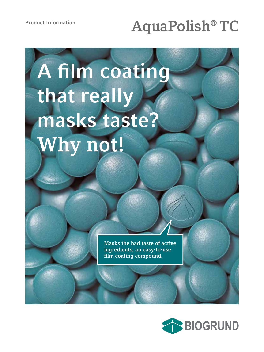# **Product Information AquaPolish® TC**

# **A film coating that really masks taste? Why not!**

**Masks the bad taste of active ingredients, an easy-to-use film coating compound.**